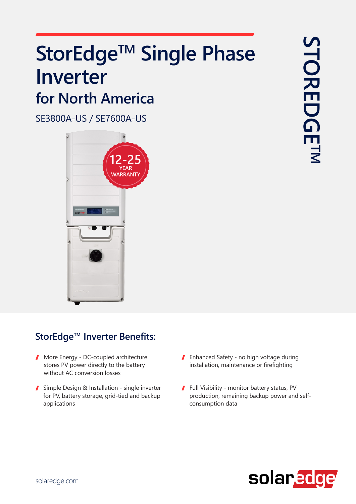# StorEdge™ Single Phase  **Inverter for North America**

SE3800A-US / SE7600A-US



#### StorEdge<sup>™</sup> Inverter Benefits:

- $\blacksquare$  More Energy DC-coupled architecture stores PV power directly to the battery without AC conversion losses
- Simple Design & Installation single inverter for PV, battery storage, grid-tied and backup applications
- I Enhanced Safety no high voltage during installation, maintenance or firefighting
- Full Visibility monitor battery status, PV production, remaining backup power and self-<br>consumption data

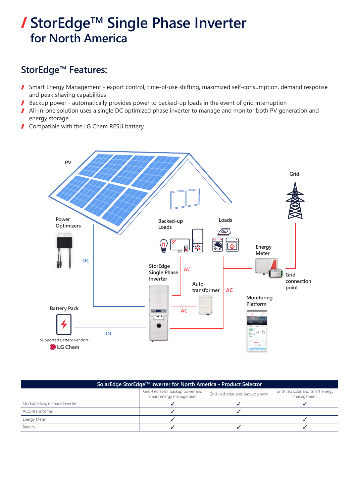### **/ StorEdge™ Single Phase Inverter for North America**

#### StorEdge<sup>™</sup> Features:

- Smart Energy Management export control, time-of-use shifting, maximized self-consumption, demand response  $\sqrt{2}$ and peak shaving capabilities
- Backup power automatically provides power to backed-up loads in the event of grid interruption I
- All-in-one solution uses a single DC optimized phase inverter to manage and monitor both PV generation and energy storage
- **Compatible with the LG Chem RESU battery**



| SolarEdge StorEdge™ Inverter for North America - Product Selector |                                                              |                                  |                                                |  |  |  |
|-------------------------------------------------------------------|--------------------------------------------------------------|----------------------------------|------------------------------------------------|--|--|--|
|                                                                   | Grid-tied solar, backup power and<br>smart energy management | Grid-tied solar and backup power | Grid-tied solar and smart energy<br>management |  |  |  |
| StorEdge Single Phase Inverter                                    |                                                              |                                  |                                                |  |  |  |
| Auto-transformer                                                  |                                                              |                                  |                                                |  |  |  |
| Energy Meter                                                      |                                                              |                                  |                                                |  |  |  |
| Battery                                                           |                                                              |                                  |                                                |  |  |  |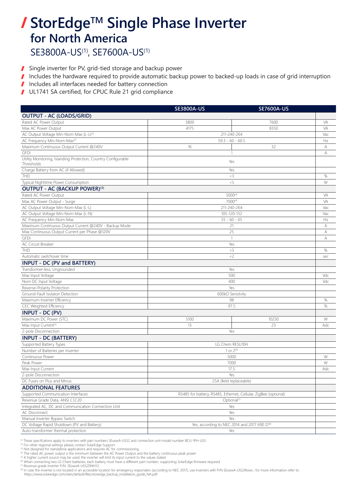### **/ StorEdge™ Single Phase Inverter for North America**

SE3800A-US<sup>(1)</sup>, SE7600A-US<sup>(1)</sup>

- Single inverter for PV, grid-tied storage and backup power  $\sqrt{2}$
- Includes the hardware required to provide automatic backup power to backed-up loads in case of grid interruption  $\mathbf{r}$
- Includes all interfaces needed for battery connection  $\mathbf{r}$
- $\mathbf{r}$ UL1741 SA certified, for CPUC Rule 21 grid compliance

|                                                                              | <b>SE3800A-US</b>                                                                          | <b>SE7600A-US</b> |      |
|------------------------------------------------------------------------------|--------------------------------------------------------------------------------------------|-------------------|------|
| <b>OUTPUT - AC (LOADS/GRID)</b>                                              |                                                                                            |                   |      |
| Rated AC Power Output                                                        | 3800                                                                                       | 7600              | VA   |
| Max AC Power Output                                                          | 4175                                                                                       | 8350              | VA   |
| AC Output Voltage Min-Nom-Max (L-L) <sup>(2)</sup>                           | 211-240-264                                                                                |                   | Vac  |
| AC Frequency Min-Nom-Max(2)                                                  | $59.3 - 60 - 60.5$                                                                         |                   | Hz   |
| Maximum Continuous Output Current @240V                                      | 16<br>32                                                                                   |                   | А    |
| <b>GFDI</b>                                                                  | 1                                                                                          |                   | А    |
| Utility Monitoring, Islanding Protection, Country Configurable<br>Thresholds | Yes                                                                                        |                   |      |
| Charge Battery from AC (if Allowed)                                          | Yes                                                                                        |                   |      |
| THD                                                                          | $3$                                                                                        |                   | $\%$ |
| Typical Nighttime Power Consumption                                          | < 5                                                                                        |                   | W    |
| <b>OUTPUT - AC (BACKUP POWER)(3)</b>                                         |                                                                                            |                   |      |
| Rated AC Power Output                                                        | 5000(4)                                                                                    |                   | VA   |
| Max AC Power Output - Surge                                                  | 7000(4)                                                                                    |                   | VA   |
| AC Output Voltage Min-Nom-Max (L-L)                                          | 211-240-264                                                                                |                   | Vac  |
| AC Output Voltage Min-Nom-Max (L-N)                                          | 105-120-132                                                                                |                   | Vac  |
| AC Frequency Min-Nom-Max                                                     | $55 - 60 - 65$                                                                             |                   | Hz   |
| Maximum Continuous Output Current @240V - Backup Mode                        | 21                                                                                         |                   | А    |
| Max Continuous Output Current per Phase @120V                                | 25                                                                                         |                   | А    |
| <b>GFDI</b>                                                                  | $\mathbf{1}$                                                                               |                   | А    |
| AC Circuit Breaker                                                           | Yes                                                                                        |                   |      |
| THD                                                                          | < 5                                                                                        |                   | $\%$ |
| Automatic switchover time                                                    | $<$ 2                                                                                      |                   | sec  |
| <b>INPUT - DC (PV and BATTERY)</b>                                           |                                                                                            |                   |      |
| Transformer-less, Ungrounded                                                 | Yes                                                                                        |                   |      |
| Max Input Voltage                                                            | 500                                                                                        |                   | Vdc  |
| Nom DC Input Voltage                                                         | 400                                                                                        |                   | Vdc  |
| Reverse-Polarity Protection                                                  | Yes                                                                                        |                   |      |
| Ground-Fault Isolaton Detection                                              | 600kΩ Sensitvity                                                                           |                   |      |
| Maximum Inverter Efficiency                                                  | 98                                                                                         |                   | $\%$ |
| CEC Weighted Efficiency                                                      | 97.5                                                                                       |                   | $\%$ |
| <b>INPUT - DC (PV)</b>                                                       |                                                                                            |                   |      |
| Maximum DC Power (STC)                                                       | 5100                                                                                       | 10250             | W    |
| Max Input Current <sup>(5)</sup>                                             | 13                                                                                         | 23                | Adc  |
| 2-pole Disconnection                                                         | Yes                                                                                        |                   |      |
| <b>INPUT - DC (BATTERY)</b>                                                  |                                                                                            |                   |      |
| Supported Battery Types                                                      | LG Chem RESU10H                                                                            |                   |      |
| Number of Batteries per Inverter                                             | 1 or $2^{(6)}$                                                                             |                   |      |
| Continuous Power                                                             | 5000                                                                                       |                   | W    |
| Peak Power                                                                   | 7000                                                                                       |                   | W    |
| Max Input Current                                                            | 17.5                                                                                       |                   | Adc  |
| 2-pole Disconnection                                                         | Yes                                                                                        |                   |      |
| DC Fuses on Plus and Minus                                                   | 25A (field replaceable)                                                                    |                   |      |
| <b>ADDITIONAL FEATURES</b>                                                   |                                                                                            |                   |      |
| Supported Communication Interfaces                                           |                                                                                            |                   |      |
| Revenue Grade Data, ANSI C12.20                                              | RS485 for battery, RS485, Ethernet, Cellular, ZigBee (optional)<br>Optional <sup>(7)</sup> |                   |      |
| Integrated AC, DC and Communication Connection Unit                          | Yes                                                                                        |                   |      |
| AC Disconnect                                                                | Yes                                                                                        |                   |      |
| Manual Inverter Bypass Switch                                                | Yes                                                                                        |                   |      |
| DC Voltage Rapid Shutdown (PV and Battery)                                   | Yes, according to NEC 2014 and 2017 690.12(8)                                              |                   |      |
| Auto-transformer thermal protection                                          | Yes                                                                                        |                   |      |

<sup>(1)</sup> These specifications apply to inverters with part numbers SExxxA-USS2 and connection unit model number BCU-1PH-USS <sup>(2)</sup> For other regional settings please contact SolarEdge Support (<sup>3)</sup> Not designed for standalone

<sup>20</sup> A inglier current source may be used, the myerical will infinitious input current to the values stated incompo<br>
<sup>6</sup> When connecting two LG Chem batteries, each battery must have a different part number; supporting Sol

<sup>(8)</sup> In case the inverter is not located in an accessible location for emergency responders (according to NEC 2017), use inverters with P/N SExxxxA-USS2Rxxxx ; for more information refer to: https://www.solaredge.com/sites/default/files/storedge\_backup\_installation\_guide\_NA.pdf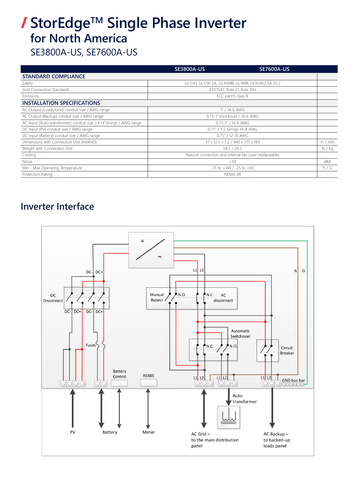## StorEdge<sup>™</sup> Single Phase Inverter **America North for**

SE3800A-US, SE7600A-US

|                                                                     | <b>SE3800A-US</b>                                      | <b>SE7600A-US</b> |                           |
|---------------------------------------------------------------------|--------------------------------------------------------|-------------------|---------------------------|
| <b>STANDARD COMPLIANCE</b>                                          |                                                        |                   |                           |
| Safety                                                              | UL1741, UL1741 SA, UL1699B, UL1998, UL9540, CSA 22.2   |                   |                           |
| <b>Grid Connection Standards</b>                                    | IEEE1547, Rule 21, Rule 14H                            |                   |                           |
| Emissions                                                           | FCC part15 class B                                     |                   |                           |
| <b>INSTALLATION SPECIFICATIONS</b>                                  |                                                        |                   |                           |
| AC Output (Loads/Grid) conduit size / AWG range                     | 1" / 14-6 AWG                                          |                   |                           |
| AC Output (Backup) conduit size / AWG range                         | 0.75-1" knockouts / 14-6 AWG                           |                   |                           |
| AC Input (Auto-transformer) conduit size / # of Strings / AWG range | 0.75-1" / 14-6 AWG                                     |                   |                           |
| DC Input (PV) conduit size / AWG range                              | 0.75" / 1-2 Strings 14-8 AWG                           |                   |                           |
| DC Input (Battery) conduit size / AWG range                         | 0.75" / 12-10 AWG                                      |                   |                           |
| Dimensions with Connection Unit (HxWxD)                             | 37 x 12.5 x 7.2 / 940 x 315 x 184                      |                   | in $/$ mm                 |
| Weight with Connection Unit                                         | 58.5 / 26.5                                            |                   | lb / kq                   |
| Cooling                                                             | Natural convection and internal fan (user replaceable) |                   |                           |
| Noise                                                               | < 50                                                   |                   | dBA                       |
| Min - Max Operating Temperature                                     | $-13$ to $+140$ / $-25$ to $+60$                       |                   | $\degree$ F / $\degree$ C |
| Protection Rating                                                   | NEMA 3R                                                |                   |                           |

#### **Inverter Interface**